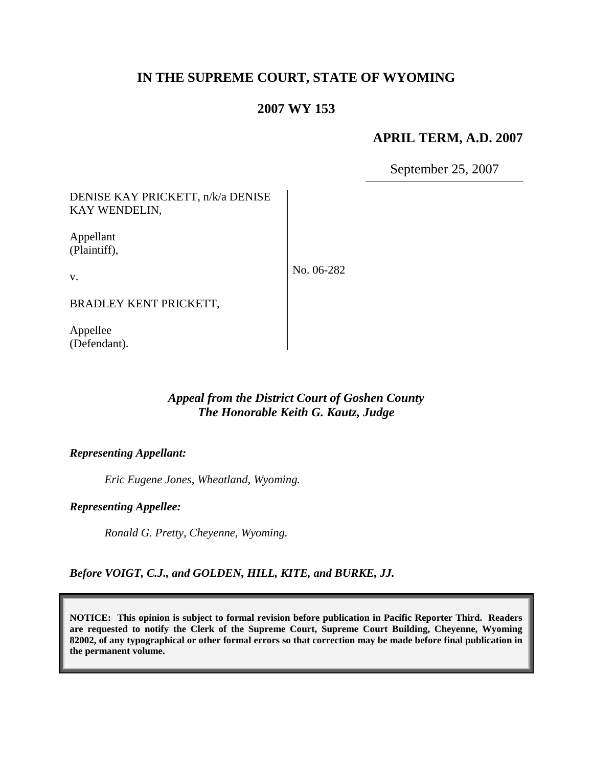# **IN THE SUPREME COURT, STATE OF WYOMING**

## **2007 WY 153**

## **APRIL TERM, A.D. 2007**

September 25, 2007

DENISE KAY PRICKETT, n/k/a DENISE KAY WENDELIN,

Appellant (Plaintiff),

v.

No. 06-282

BRADLEY KENT PRICKETT,

Appellee (Defendant).

## *Appeal from the District Court of Goshen County The Honorable Keith G. Kautz, Judge*

#### *Representing Appellant:*

*Eric Eugene Jones, Wheatland, Wyoming.*

*Representing Appellee:*

*Ronald G. Pretty, Cheyenne, Wyoming.*

*Before VOIGT, C.J., and GOLDEN, HILL, KITE, and BURKE, JJ.*

**NOTICE: This opinion is subject to formal revision before publication in Pacific Reporter Third. Readers are requested to notify the Clerk of the Supreme Court, Supreme Court Building, Cheyenne, Wyoming 82002, of any typographical or other formal errors so that correction may be made before final publication in the permanent volume.**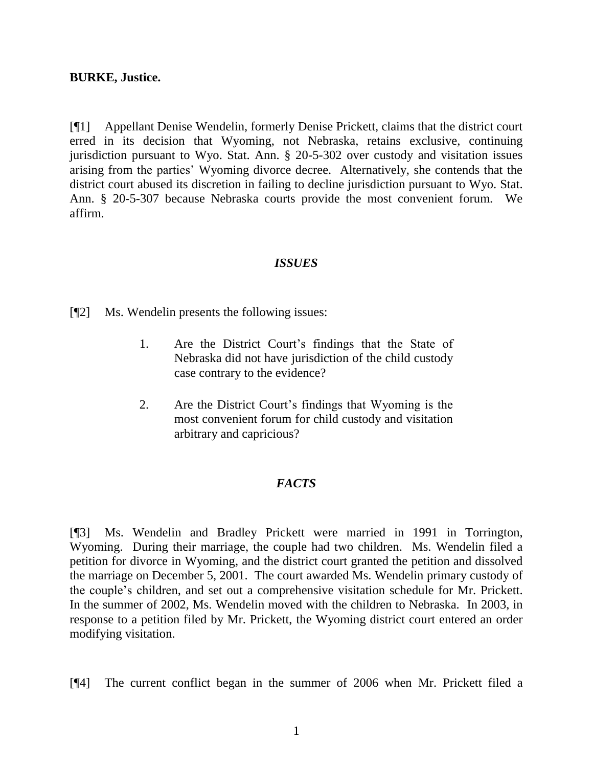### **BURKE, Justice.**

[¶1] Appellant Denise Wendelin, formerly Denise Prickett, claims that the district court erred in its decision that Wyoming, not Nebraska, retains exclusive, continuing jurisdiction pursuant to Wyo. Stat. Ann. § 20-5-302 over custody and visitation issues arising from the parties' Wyoming divorce decree. Alternatively, she contends that the district court abused its discretion in failing to decline jurisdiction pursuant to Wyo. Stat. Ann. § 20-5-307 because Nebraska courts provide the most convenient forum. We affirm.

### *ISSUES*

[¶2] Ms. Wendelin presents the following issues:

- 1. Are the District Court's findings that the State of Nebraska did not have jurisdiction of the child custody case contrary to the evidence?
- 2. Are the District Court's findings that Wyoming is the most convenient forum for child custody and visitation arbitrary and capricious?

### *FACTS*

[¶3] Ms. Wendelin and Bradley Prickett were married in 1991 in Torrington, Wyoming. During their marriage, the couple had two children. Ms. Wendelin filed a petition for divorce in Wyoming, and the district court granted the petition and dissolved the marriage on December 5, 2001. The court awarded Ms. Wendelin primary custody of the couple's children, and set out a comprehensive visitation schedule for Mr. Prickett. In the summer of 2002, Ms. Wendelin moved with the children to Nebraska. In 2003, in response to a petition filed by Mr. Prickett, the Wyoming district court entered an order modifying visitation.

[¶4] The current conflict began in the summer of 2006 when Mr. Prickett filed a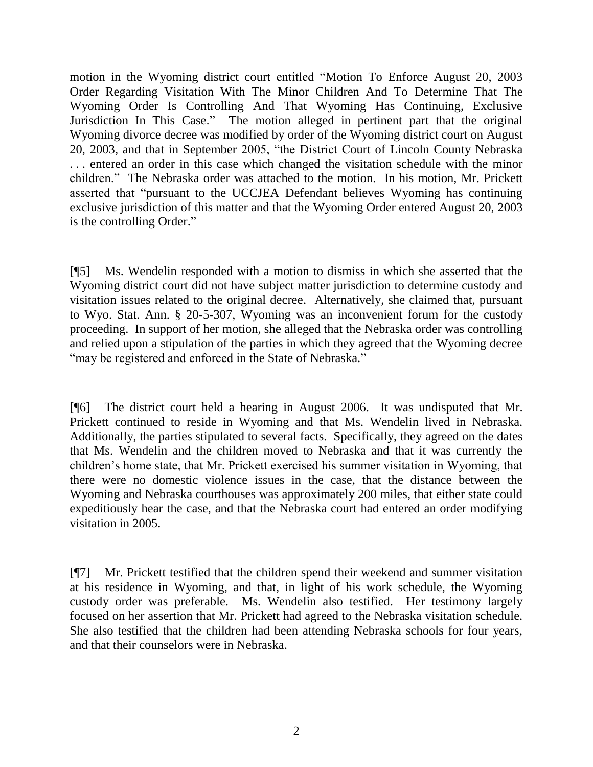motion in the Wyoming district court entitled "Motion To Enforce August 20, 2003 Order Regarding Visitation With The Minor Children And To Determine That The Wyoming Order Is Controlling And That Wyoming Has Continuing, Exclusive Jurisdiction In This Case." The motion alleged in pertinent part that the original Wyoming divorce decree was modified by order of the Wyoming district court on August 20, 2003, and that in September 2005, "the District Court of Lincoln County Nebraska . . . entered an order in this case which changed the visitation schedule with the minor children." The Nebraska order was attached to the motion. In his motion, Mr. Prickett asserted that "pursuant to the UCCJEA Defendant believes Wyoming has continuing exclusive jurisdiction of this matter and that the Wyoming Order entered August 20, 2003 is the controlling Order."

[¶5] Ms. Wendelin responded with a motion to dismiss in which she asserted that the Wyoming district court did not have subject matter jurisdiction to determine custody and visitation issues related to the original decree. Alternatively, she claimed that, pursuant to Wyo. Stat. Ann. § 20-5-307, Wyoming was an inconvenient forum for the custody proceeding. In support of her motion, she alleged that the Nebraska order was controlling and relied upon a stipulation of the parties in which they agreed that the Wyoming decree "may be registered and enforced in the State of Nebraska."

[¶6] The district court held a hearing in August 2006. It was undisputed that Mr. Prickett continued to reside in Wyoming and that Ms. Wendelin lived in Nebraska. Additionally, the parties stipulated to several facts. Specifically, they agreed on the dates that Ms. Wendelin and the children moved to Nebraska and that it was currently the children's home state, that Mr. Prickett exercised his summer visitation in Wyoming, that there were no domestic violence issues in the case, that the distance between the Wyoming and Nebraska courthouses was approximately 200 miles, that either state could expeditiously hear the case, and that the Nebraska court had entered an order modifying visitation in 2005.

[¶7] Mr. Prickett testified that the children spend their weekend and summer visitation at his residence in Wyoming, and that, in light of his work schedule, the Wyoming custody order was preferable. Ms. Wendelin also testified. Her testimony largely focused on her assertion that Mr. Prickett had agreed to the Nebraska visitation schedule. She also testified that the children had been attending Nebraska schools for four years, and that their counselors were in Nebraska.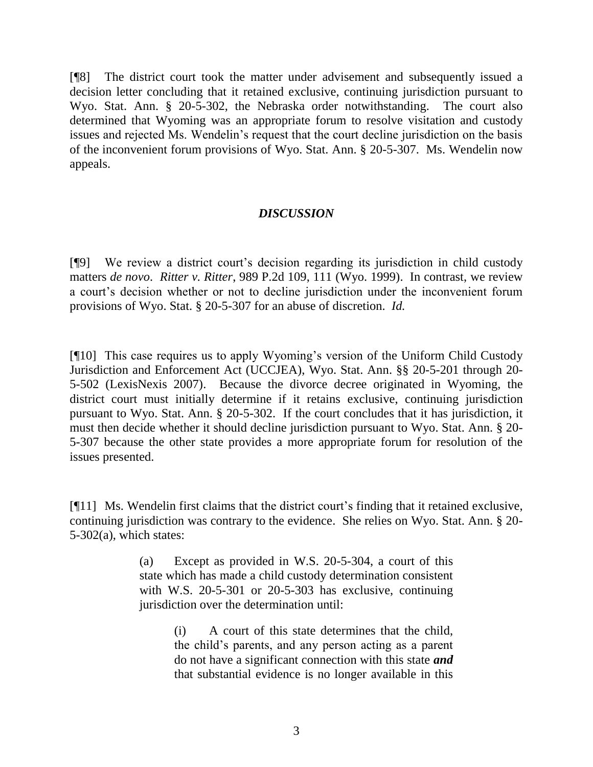[¶8] The district court took the matter under advisement and subsequently issued a decision letter concluding that it retained exclusive, continuing jurisdiction pursuant to Wyo. Stat. Ann. § 20-5-302, the Nebraska order notwithstanding. The court also determined that Wyoming was an appropriate forum to resolve visitation and custody issues and rejected Ms. Wendelin's request that the court decline jurisdiction on the basis of the inconvenient forum provisions of Wyo. Stat. Ann. § 20-5-307. Ms. Wendelin now appeals.

### *DISCUSSION*

[¶9] We review a district court's decision regarding its jurisdiction in child custody matters *de novo*. *Ritter v. Ritter*, 989 P.2d 109, 111 (Wyo. 1999). In contrast, we review a court's decision whether or not to decline jurisdiction under the inconvenient forum provisions of Wyo. Stat. § 20-5-307 for an abuse of discretion. *Id.*

[¶10] This case requires us to apply Wyoming's version of the Uniform Child Custody Jurisdiction and Enforcement Act (UCCJEA), Wyo. Stat. Ann. §§ 20-5-201 through 20- 5-502 (LexisNexis 2007). Because the divorce decree originated in Wyoming, the district court must initially determine if it retains exclusive, continuing jurisdiction pursuant to Wyo. Stat. Ann. § 20-5-302. If the court concludes that it has jurisdiction, it must then decide whether it should decline jurisdiction pursuant to Wyo. Stat. Ann. § 20- 5-307 because the other state provides a more appropriate forum for resolution of the issues presented.

[¶11] Ms. Wendelin first claims that the district court's finding that it retained exclusive, continuing jurisdiction was contrary to the evidence. She relies on Wyo. Stat. Ann. § 20- 5-302(a), which states:

> (a) Except as provided in W.S. 20-5-304, a court of this state which has made a child custody determination consistent with W.S. 20-5-301 or 20-5-303 has exclusive, continuing jurisdiction over the determination until:

> > (i) A court of this state determines that the child, the child's parents, and any person acting as a parent do not have a significant connection with this state *and* that substantial evidence is no longer available in this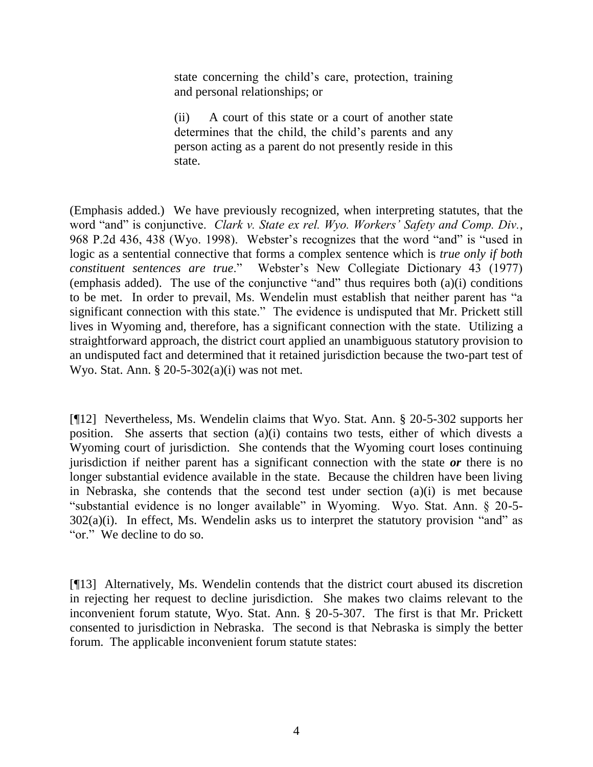state concerning the child's care, protection, training and personal relationships; or

(ii) A court of this state or a court of another state determines that the child, the child's parents and any person acting as a parent do not presently reside in this state.

(Emphasis added.) We have previously recognized, when interpreting statutes, that the word "and" is conjunctive. *Clark v. State ex rel. Wyo. Workers' Safety and Comp. Div.*, 968 P.2d 436, 438 (Wyo. 1998). Webster's recognizes that the word "and" is "used in logic as a sentential connective that forms a complex sentence which is *true only if both constituent sentences are true*." Webster's New Collegiate Dictionary 43 (1977) (emphasis added). The use of the conjunctive "and" thus requires both (a)(i) conditions to be met. In order to prevail, Ms. Wendelin must establish that neither parent has "a significant connection with this state." The evidence is undisputed that Mr. Prickett still lives in Wyoming and, therefore, has a significant connection with the state. Utilizing a straightforward approach, the district court applied an unambiguous statutory provision to an undisputed fact and determined that it retained jurisdiction because the two-part test of Wyo. Stat. Ann. § 20-5-302(a)(i) was not met.

[¶12] Nevertheless, Ms. Wendelin claims that Wyo. Stat. Ann. § 20-5-302 supports her position. She asserts that section (a)(i) contains two tests, either of which divests a Wyoming court of jurisdiction. She contends that the Wyoming court loses continuing jurisdiction if neither parent has a significant connection with the state *or* there is no longer substantial evidence available in the state. Because the children have been living in Nebraska, she contends that the second test under section (a)(i) is met because "substantial evidence is no longer available" in Wyoming. Wyo. Stat. Ann. § 20-5-  $302(a)(i)$ . In effect, Ms. Wendelin asks us to interpret the statutory provision "and" as "or." We decline to do so.

[¶13] Alternatively, Ms. Wendelin contends that the district court abused its discretion in rejecting her request to decline jurisdiction. She makes two claims relevant to the inconvenient forum statute, Wyo. Stat. Ann. § 20-5-307. The first is that Mr. Prickett consented to jurisdiction in Nebraska. The second is that Nebraska is simply the better forum. The applicable inconvenient forum statute states: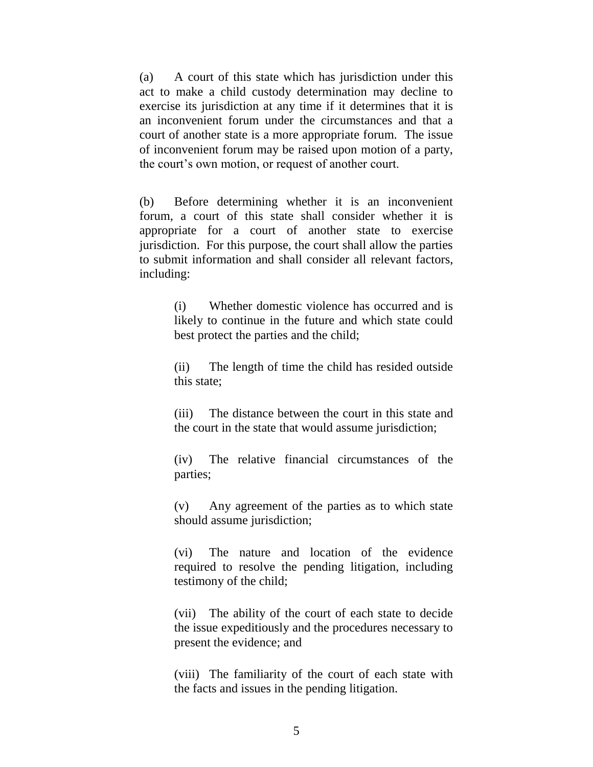(a) A court of this state which has jurisdiction under this act to make a child custody determination may decline to exercise its jurisdiction at any time if it determines that it is an inconvenient forum under the circumstances and that a court of another state is a more appropriate forum. The issue of inconvenient forum may be raised upon motion of a party, the court's own motion, or request of another court.

(b) Before determining whether it is an inconvenient forum, a court of this state shall consider whether it is appropriate for a court of another state to exercise jurisdiction. For this purpose, the court shall allow the parties to submit information and shall consider all relevant factors, including:

> (i) Whether domestic violence has occurred and is likely to continue in the future and which state could best protect the parties and the child;

> (ii) The length of time the child has resided outside this state;

> (iii) The distance between the court in this state and the court in the state that would assume jurisdiction;

> (iv) The relative financial circumstances of the parties;

> (v) Any agreement of the parties as to which state should assume jurisdiction;

> (vi) The nature and location of the evidence required to resolve the pending litigation, including testimony of the child;

> (vii) The ability of the court of each state to decide the issue expeditiously and the procedures necessary to present the evidence; and

> (viii) The familiarity of the court of each state with the facts and issues in the pending litigation.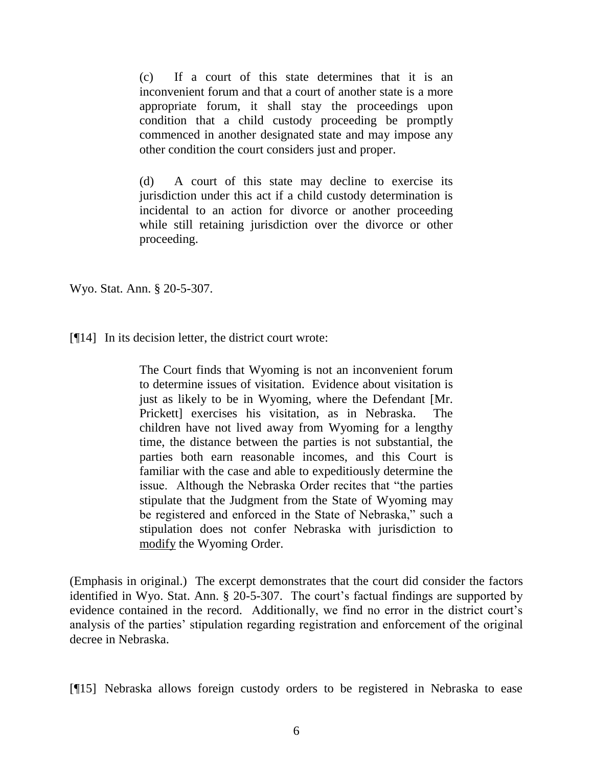(c) If a court of this state determines that it is an inconvenient forum and that a court of another state is a more appropriate forum, it shall stay the proceedings upon condition that a child custody proceeding be promptly commenced in another designated state and may impose any other condition the court considers just and proper.

(d) A court of this state may decline to exercise its jurisdiction under this act if a child custody determination is incidental to an action for divorce or another proceeding while still retaining jurisdiction over the divorce or other proceeding.

Wyo. Stat. Ann. § 20-5-307.

[¶14] In its decision letter, the district court wrote:

The Court finds that Wyoming is not an inconvenient forum to determine issues of visitation. Evidence about visitation is just as likely to be in Wyoming, where the Defendant [Mr. Prickett] exercises his visitation, as in Nebraska. The children have not lived away from Wyoming for a lengthy time, the distance between the parties is not substantial, the parties both earn reasonable incomes, and this Court is familiar with the case and able to expeditiously determine the issue. Although the Nebraska Order recites that "the parties stipulate that the Judgment from the State of Wyoming may be registered and enforced in the State of Nebraska," such a stipulation does not confer Nebraska with jurisdiction to modify the Wyoming Order.

(Emphasis in original.) The excerpt demonstrates that the court did consider the factors identified in Wyo. Stat. Ann. § 20-5-307. The court's factual findings are supported by evidence contained in the record. Additionally, we find no error in the district court's analysis of the parties' stipulation regarding registration and enforcement of the original decree in Nebraska.

[¶15] Nebraska allows foreign custody orders to be registered in Nebraska to ease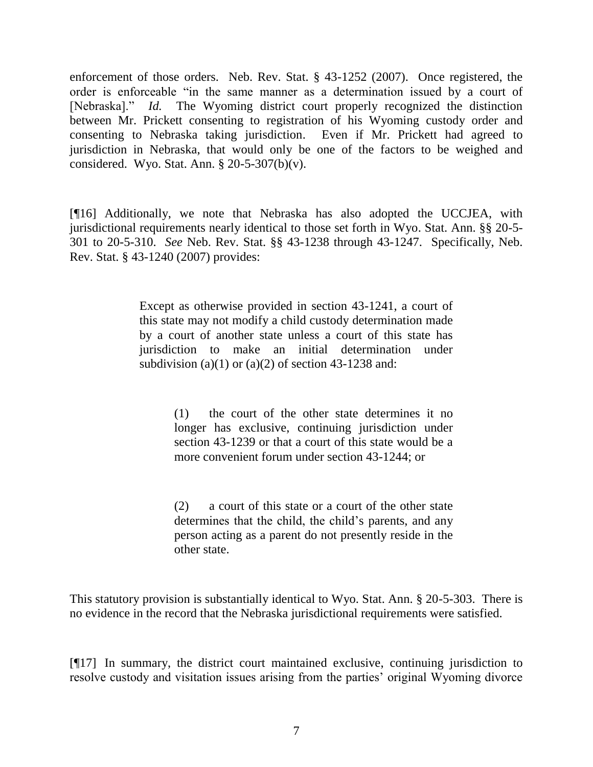enforcement of those orders. Neb. Rev. Stat. § 43-1252 (2007). Once registered, the order is enforceable "in the same manner as a determination issued by a court of [Nebraska]." *Id.* The Wyoming district court properly recognized the distinction between Mr. Prickett consenting to registration of his Wyoming custody order and consenting to Nebraska taking jurisdiction. Even if Mr. Prickett had agreed to jurisdiction in Nebraska, that would only be one of the factors to be weighed and considered. Wyo. Stat. Ann.  $\S 20-5-307(b)(v)$ .

[¶16] Additionally, we note that Nebraska has also adopted the UCCJEA, with jurisdictional requirements nearly identical to those set forth in Wyo. Stat. Ann. §§ 20-5- 301 to 20-5-310. *See* Neb. Rev. Stat. §§ 43-1238 through 43-1247. Specifically, Neb. Rev. Stat. § 43-1240 (2007) provides:

> Except as otherwise provided in section 43-1241, a court of this state may not modify a child custody determination made by a court of another state unless a court of this state has jurisdiction to make an initial determination under subdivision (a)(1) or (a)(2) of section  $43-1238$  and:

> > (1) the court of the other state determines it no longer has exclusive, continuing jurisdiction under section 43-1239 or that a court of this state would be a more convenient forum under section 43-1244; or

> > (2) a court of this state or a court of the other state determines that the child, the child's parents, and any person acting as a parent do not presently reside in the other state.

This statutory provision is substantially identical to Wyo. Stat. Ann. § 20-5-303. There is no evidence in the record that the Nebraska jurisdictional requirements were satisfied.

[¶17] In summary, the district court maintained exclusive, continuing jurisdiction to resolve custody and visitation issues arising from the parties' original Wyoming divorce